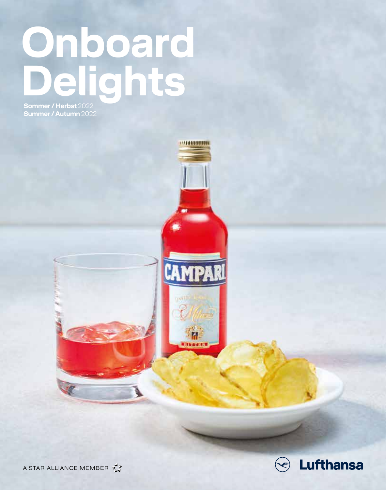# **Onboard Delights**

(11144598931)

CAMPARI

М **Nikaditi** 

**Sommer / Herbst** 2022 **Summer / Autumn** 2022



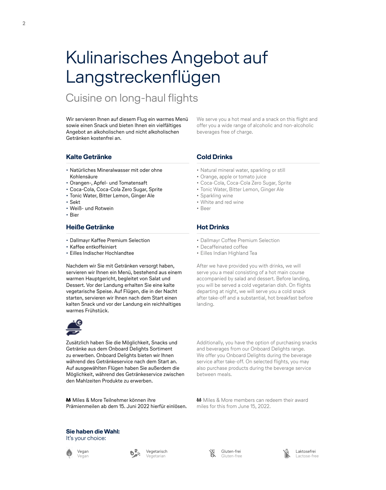# Kulinarisches Angebot auf Langstreckenflügen

# Cuisine on long-haul flights

Wir servieren Ihnen auf diesem Flug ein warmes Menü sowie einen Snack und bieten Ihnen ein vielfältiges Angebot an alkoholischen und nicht alkoholischen Getränken kostenfrei an.

We serve you a hot meal and a snack on this flight and offer you a wide range of alcoholic and non-alcoholic beverages free of charge.

# **Kalte Getränke**

- Natürliches Mineralwasser mit oder ohne Kohlensäure
- Orangen-, Apfel- und Tomatensaft
- Coca-Cola, Coca-Cola Zero Sugar, Sprite
- Tonic Water, Bitter Lemon, Ginger Ale
- Sekt
- Weiß- und Rotwein
- Bier

# **Heiße Getränke**

- Dallmayr Kaffee Premium Selection
- Kaffee entkoffeiniert
- Eilles Indischer Hochlandtee

Nachdem wir Sie mit Getränken versorgt haben, servieren wir Ihnen ein Menü, bestehend aus einem warmen Hauptgericht, begleitet von Salat und Dessert. Vor der Landung erhalten Sie eine kalte vegetarische Speise. Auf Flügen, die in der Nacht starten, servieren wir Ihnen nach dem Start einen kalten Snack und vor der Landung ein reichhaltiges warmes Frühstück.



Zusätzlich haben Sie die Möglichkeit, Snacks und Getränke aus dem Onboard Delights Sortiment zu erwerben. Onboard Delights bieten wir Ihnen während des Getränkeservice nach dem Start an. Auf ausgewählten Flügen haben Sie außerdem die Möglichkeit, während des Getränkeservice zwischen den Mahlzeiten Produkte zu erwerben.

**M** Miles & More Teilnehmer können ihre Prämienmeilen ab dem 15. Juni 2022 hierfür einlösen.

# **Cold Drinks**

- Natural mineral water, sparkling or still
- Orange, apple or tomato juice
- Coca-Cola, Coca-Cola Zero Sugar, Sprite
- Tonic Water, Bitter Lemon, Ginger Ale
- Sparkling wine
- White and red wine
- Beer

# **Hot Drinks**

- Dallmayr Coffee Premium Selection
- Decaffeinated coffee
- Eilles Indian Highland Tea

After we have provided you with drinks, we will serve you a meal consisting of a hot main course accompanied by salad and dessert. Before landing, you will be served a cold vegetarian dish. On flights departing at night, we will serve you a cold snack after take-off and a substantial, hot breakfast before landing.

Additionally, you have the option of purchasing snacks and beverages from our Onboard Delights range. We offer you Onboard Delights during the beverage service after take-off. On selected flights, you may also purchase products during the beverage service between meals.

**M** Miles & More members can redeem their award miles for this from June 15, 2022.

#### **Sie haben die Wahl:** It's your choice:



Vegetarisch Vegetarian



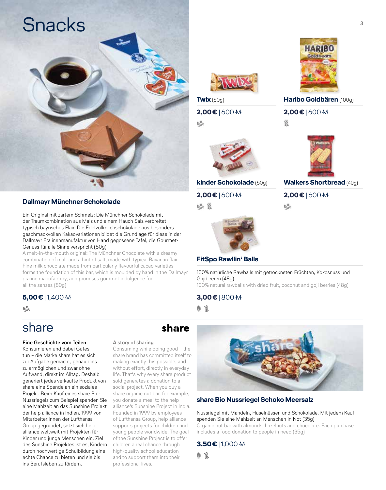

# **Dallmayr Münchner Schokolade**

Ein Original mit zartem Schmelz: Die Münchner Schokolade mit der Traumkombination aus Malz und einem Hauch Salz verbreitet typisch bayrisches Flair. Die Edelvollmilchschokolade aus besonders geschmackvollen Kakaovariationen bildet die Grundlage für diese in der Dallmayr Pralinenmanufaktur von Hand gegossene Tafel, die Gourmet-Genuss für alle Sinne verspricht (80g)

A melt-in-the-mouth original: The Münchner Chocolate with a dreamy combination of malt and a hint of salt, made with typical Bavarian flair. Fine milk chocolate made from particularly flavourful cacao varieties forms the foundation of this bar, which is moulded by hand in the Dallmayr praline manufactory, and promises gourmet indulgence for all the senses (80g)

# **5,00€** | 1,400

 $b_{ab}^2$ 

# share

## **Eine Geschichte vom Teilen**

Konsumieren und dabei Gutes tun – die Marke share hat es sich zur Aufgabe gemacht, genau dies zu ermöglichen und zwar ohne Aufwand, direkt im Alltag. Deshalb generiert jedes verkaufte Produkt von share eine Spende an ein soziales Projekt. Beim Kauf eines share Bio-Nussriegels zum Beispiel spenden Sie eine Mahlzeit an das Sunshine Projekt der help alliance in Indien. 1999 von Mitarbeiter:innen der Lufthansa Group gegründet, setzt sich help alliance weltweit mit Projekten für Kinder und junge Menschen ein. Ziel des Sunshine Projektes ist es, Kindern durch hochwertige Schulbildung eine echte Chance zu bieten und sie bis ins Berufsleben zu fördern.

## **A story of sharing**

Consuming while doing good – the share brand has committed itself to making exactly this possible, and without effort, directly in everyday life. That's why every share product sold generates a donation to a social project. When you buy a share organic nut bar, for example, you donate a meal to the help alliance's Sunshine Project in India. Founded in 1999 by employees of Lufthansa Group, help alliance supports projects for children and young people worldwide. The goal of the Sunshine Project is to offer children a real chance through high-quality school education and to support them into their professional lives.



**Twix** (50g)

# **2,00€** | 600

 $b_{\mu}^2$ 



**kinder Schokolade** (50g) **2,00€** | 600

吃豆



# **FitSpo Rawllin' Balls**

100% natürliche Rawballs mit getrockneten Früchten, Kokosnuss und Gojibeeren (48g)

100% natural rawballs with dried fruit, coconut and goji berries (48g)

# **3,00€** | 800

6 R

share



# **share Bio Nussriegel Schoko Meersalz**

#### Nussriegel mit Mandeln, Haselnüssen und Schokolade. Mit jedem Kauf spenden Sie eine Mahlzeit an Menschen in Not (35g)

Organic nut bar with almonds, hazelnuts and chocolate. Each purchase includes a food donation to people in need (35g)

# **3,50€** | 1,000

合臣



**Haribo Goldbären** (100g)

**2,00€** | 600

₩.



**Walkers Shortbread** (40g)

**2,00€** | 600

 $\mathbf{b}_{\mathbf{a}^{(i)}}^{\mathbf{B}_{\mathbf{b}}}$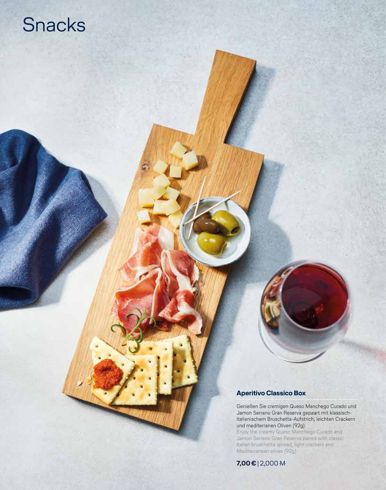# Snacks

# **Aperitivo Classico Box**

Genießen Sie cremigen Queso Manchego Curado und Jamon Serrano Gran Reserva gepaart mit klassischitalienischem Bruschetta-Aufstrich, leichten Crackern und mediterranen Oliven (92g)

Enjoy the creamy Queso Manchego Curado and Jamon Serrano Gran Reserva paired with classic Italian bruschetta spread, light crackers and Mediterranean olives (92g)

**7,00€** | 2,000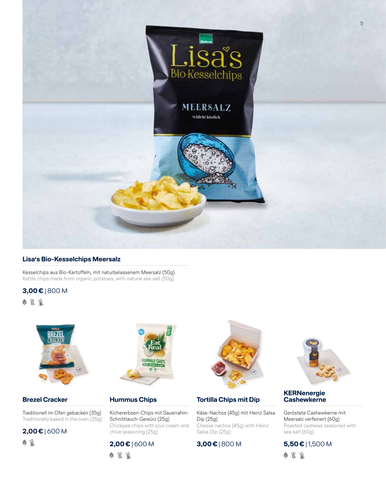

# **Lisa's Bio-Kesselchips Meersalz**

Kesselchips aus Bio-Kartoffeln, mit naturbelassenem Meersalz (50g) Kettle chips made from organic potatoes, with natural sea salt (50g)

**3,00€** | 800

●※下



# **Brezel Cracker**

Traditionell im Ofen gebacken (35g) Traditionally baked in the oven (35g)

**2,00€** | 600

6 R



# **Hummus Chips**

Kichererbsen-Chips mit Sauerrahm-Schnittlauch-Gewürz (25g) Chickpea chips with sour cream and chive seasoning (25g)

# **2,00€** | 600

●※良



# **Tortilla Chips mit Dip**

Käse-Nachos (45g) mit Heinz Salsa Dip (25g) Cheese nachos (45g) with Heinz Salsa Dip (25g)

**3,00€** | 800



# **KERNenergie Cashewkerne**

Geröstete Cashewkerne mit Meersalz verfeinert (60g) Roasted cashews seasoned with sea salt (60g)

# **5,50€** | 1,500

白紫原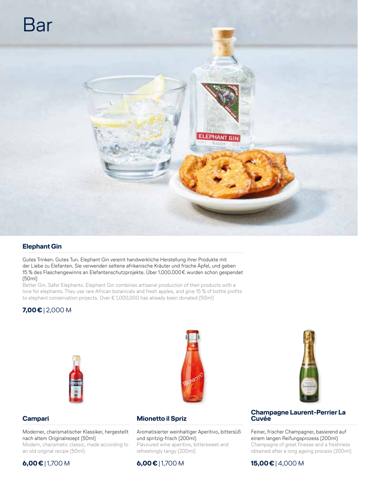

# **Elephant Gin**

Gutes Trinken. Gutes Tun. Elephant Gin vereint handwerkliche Herstellung ihrer Produkte mit der Liebe zu Elefanten. Sie verwenden seltene afrikanische Kräuter und frische Äpfel, und geben 15 % des Flaschengewinns an Elefantenschutzprojekte. Über 1.000.000€ wurden schon gespendet (50ml)

Better Gin. Safer Elephants. Elephant Gin combines artisanal production of their products with a love for elephants. They use rare African botanicals and fresh apples, and give 15 % of bottle profits to elephant conservation projects. Over € 1,000,000 has already been donated (50ml)

# **7,00€** | 2,000





# **Campari**

# Moderner, charismatischer Klassiker, hergestellt nach altem Originalrezept (50ml)

Modern, charismatic classic, made according to an old original recipe (50ml)

# **Mionetto il Spriz**

Aromatisierter weinhaltiger Aperitivo, bittersüß und spritzig-frisch (200ml) Flavoured wine aperitivo, bittersweet and refreshingly tangy (200ml)

# **Champagne Laurent-Perrier La Cuvée**

Feiner, frischer Champagner, basierend auf einem langen Reifungsprozess (200ml) Champagne of great finesse and a freshness obtained after a long ageing process (200ml)

**15,00€** | 4,000

# **6,00€** | 1,700

# **6,00€** | 1,700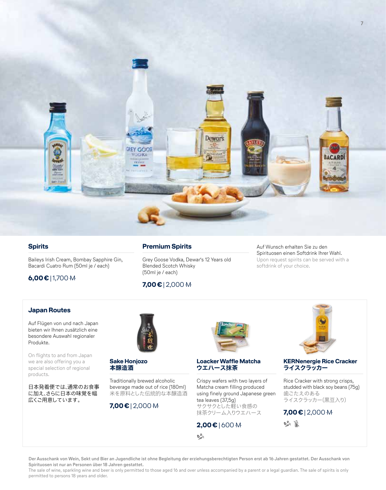

## **Spirits**

Baileys Irish Cream, Bombay Sapphire Gin, Bacardi Cuatro Rum (50ml je / each)

# **6,00€** | 1,700

**Premium Spirits**

Grey Goose Vodka, Dewar's 12 Years old Blended Scotch Whisky (50ml je / each)

# **7,00€** | 2,000

Auf Wunsch erhalten Sie zu den Spirituosen einen Softdrink Ihrer Wahl. Upon request spirits can be served with a softdrink of your choice.

## **Japan Routes**

Auf Flügen von und nach Japan bieten wir Ihnen zusätzlich eine besondere Auswahl regionaler Produkte.

On flights to and from Japan we are also offering you a special selection of regional products.

日本発着便では、通常のお食事 に加え、さらに日本の味覚を幅 広くご用意しています。



**Sake Honjozo 本醸造酒**

Traditionally brewed alcoholic beverage made out of rice (180ml) 米を原料とした伝統的な本醸造酒

# **7,00€** | 2,000



#### **Loacker Waffle Matcha ウエハース抹茶**

Crispy wafers with two layers of Matcha cream filling produced using finely ground Japanese green tea leaves (37,5g) サクサクとした軽い食感の 抹茶クリーム入りウエハース

# **2,00€** | 600

 $\mathbf{b}_{ab}^2$ 



#### **KERNenergie Rice Cracker ライスクラッカー**

Rice Cracker with strong crisps, studded with black soy beans (75g) 歯ごたえのある ライスクラッカー(黒豆入り)

**7,00€** | 2,000

 $\mathbb{R}^n$ 

**Der Ausschank von Wein, Sekt und Bier an Jugendliche ist ohne Begleitung der erziehungsberechtigten Person erst ab 16 Jahren gestattet. Der Ausschank von Spirituosen ist nur an Personen über 18 Jahren gestattet.** 

The sale of wine, sparkling wine and beer is only permitted to those aged 16 and over unless accompanied by a parent or a legal guardian. The sale of spirits is only permitted to persons 18 years and older.